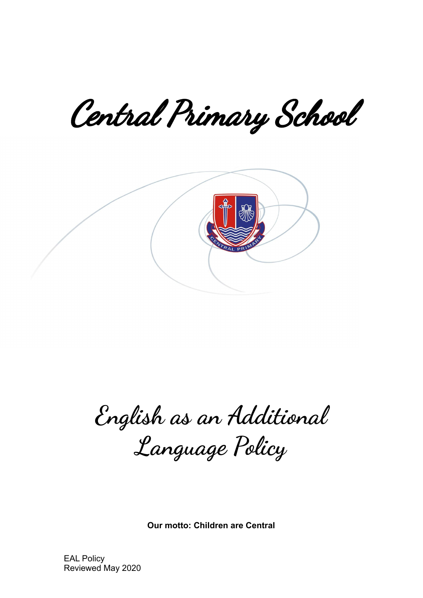Central Primary School



**English as an Additional Language Policy**

**Our motto: Children are Central**

EAL Policy Reviewed May 2020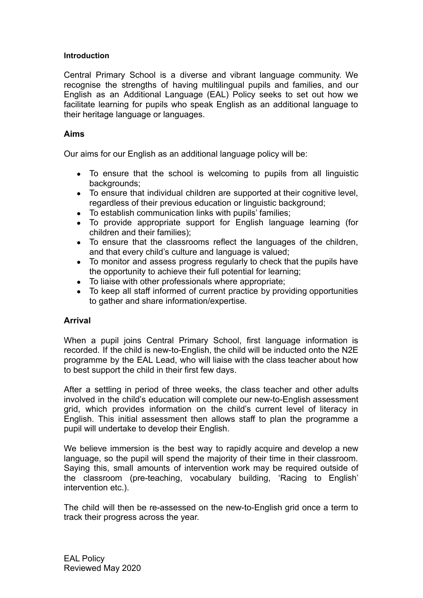#### **Introduction**

Central Primary School is a diverse and vibrant language community. We recognise the strengths of having multilingual pupils and families, and our English as an Additional Language (EAL) Policy seeks to set out how we facilitate learning for pupils who speak English as an additional language to their heritage language or languages.

### **Aims**

Our aims for our English as an additional language policy will be:

- To ensure that the school is welcoming to pupils from all linguistic backgrounds:
- To ensure that individual children are supported at their cognitive level, regardless of their previous education or linguistic background;
- To establish communication links with pupils' families;
- To provide appropriate support for English language learning (for children and their families);
- To ensure that the classrooms reflect the languages of the children, and that every child's culture and language is valued;
- To monitor and assess progress regularly to check that the pupils have the opportunity to achieve their full potential for learning;
- To liaise with other professionals where appropriate;
- To keep all staff informed of current practice by providing opportunities to gather and share information/expertise.

# **Arrival**

When a pupil joins Central Primary School, first language information is recorded. If the child is new-to-English, the child will be inducted onto the N2E programme by the EAL Lead, who will liaise with the class teacher about how to best support the child in their first few days.

After a settling in period of three weeks, the class teacher and other adults involved in the child's education will complete our new-to-English assessment grid, which provides information on the child's current level of literacy in English. This initial assessment then allows staff to plan the programme a pupil will undertake to develop their English.

We believe immersion is the best way to rapidly acquire and develop a new language, so the pupil will spend the majority of their time in their classroom. Saying this, small amounts of intervention work may be required outside of the classroom (pre-teaching, vocabulary building, 'Racing to English' intervention etc.).

The child will then be re-assessed on the new-to-English grid once a term to track their progress across the year.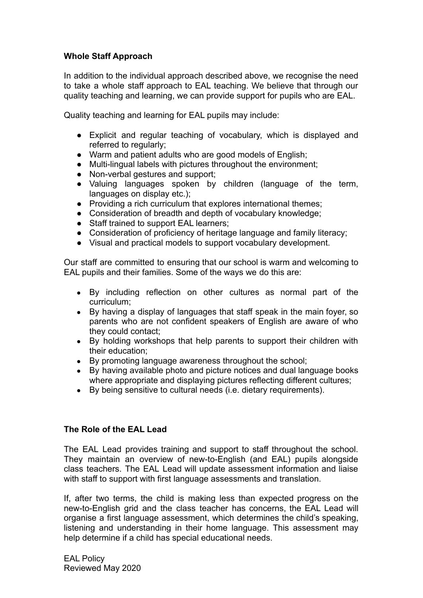## **Whole Staff Approach**

In addition to the individual approach described above, we recognise the need to take a whole staff approach to EAL teaching. We believe that through our quality teaching and learning, we can provide support for pupils who are EAL.

Quality teaching and learning for EAL pupils may include:

- Explicit and regular teaching of vocabulary, which is displayed and referred to regularly;
- Warm and patient adults who are good models of English;
- Multi-lingual labels with pictures throughout the environment;
- Non-verbal gestures and support;
- Valuing languages spoken by children (language of the term, languages on display etc.);
- Providing a rich curriculum that explores international themes;
- Consideration of breadth and depth of vocabulary knowledge;
- Staff trained to support EAL learners:
- Consideration of proficiency of heritage language and family literacy;
- Visual and practical models to support vocabulary development.

Our staff are committed to ensuring that our school is warm and welcoming to EAL pupils and their families. Some of the ways we do this are:

- By including reflection on other cultures as normal part of the curriculum;
- By having a display of languages that staff speak in the main foyer, so parents who are not confident speakers of English are aware of who they could contact;
- By holding workshops that help parents to support their children with their education;
- By promoting language awareness throughout the school;
- By having available photo and picture notices and dual language books where appropriate and displaying pictures reflecting different cultures;
- By being sensitive to cultural needs (i.e. dietary requirements).

#### **The Role of the EAL Lead**

The EAL Lead provides training and support to staff throughout the school. They maintain an overview of new-to-English (and EAL) pupils alongside class teachers. The EAL Lead will update assessment information and liaise with staff to support with first language assessments and translation.

If, after two terms, the child is making less than expected progress on the new-to-English grid and the class teacher has concerns, the EAL Lead will organise a first language assessment, which determines the child's speaking, listening and understanding in their home language. This assessment may help determine if a child has special educational needs.

EAL Policy Reviewed May 2020